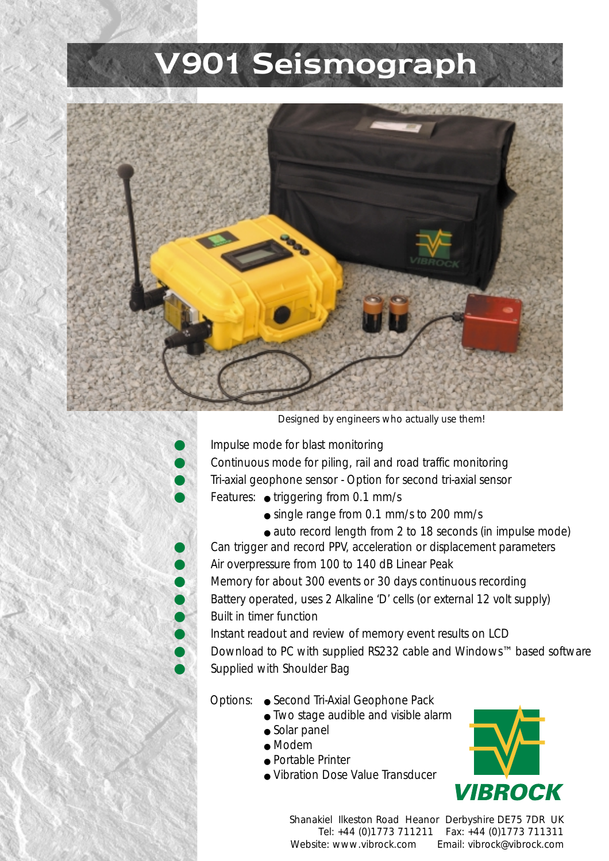## V901 Seismograph



*Designed by engineers who actually use them!*

● *Impulse mode for blast monitoring*

● *Continuous mode for piling, rail and road traffic monitoring*

- *Tri-axial geophone sensor Option for second tri-axial sensor*
- *Features: triggering from 0.1 mm/s*
	- *single range from 0.1 mm/s to 200 mm/s*
	- *auto record length from 2 to 18 seconds (in impulse mode)*

Can trigger and record PPV, acceleration or displacement parameters ● *Air overpressure from 100 to 140 dB Linear Peak*

● *Memory for about 300 events or 30 days continuous recording* Battery operated, uses 2 Alkaline 'D' cells (or external 12 volt supply) ● *Built in timer function*

Instant readout and review of memory event results on LCD Download to PC with supplied RS232 cable and Windows™ based software Supplied with Shoulder Bag

## *Options:* ● *Second Tri-Axial Geophone Pack*

- *Two stage audible and visible alarm*
- *Solar panel*
- *Modem*
- *Portable Printer*
- *Vibration Dose Value Transducer*



*Shanakiel Ilkeston Road Heanor Derbyshire DE75 7DR UK Tel: +44 (0)1773 711211 Fax: +44 (0)1773 711311 Website: www.vibrock.com Email: vibrock@vibrock.com*